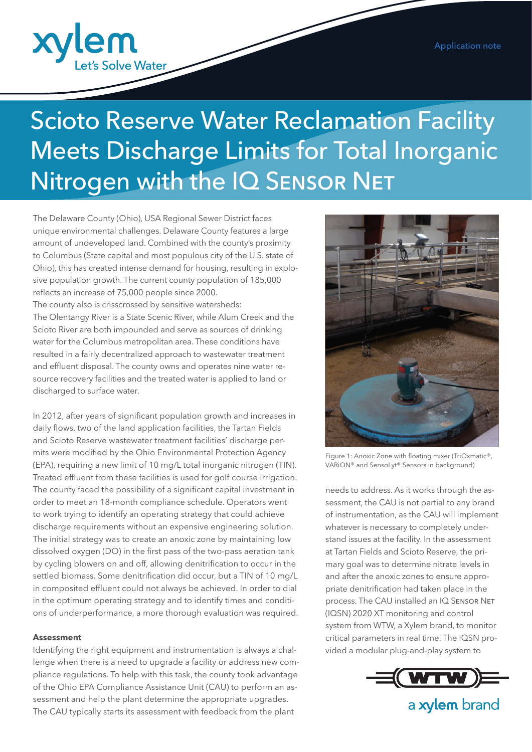

# Scioto Reserve Water Reclamation Facility Meets Discharge Limits for Total Inorganic Nitrogen with the IQ SENSOR NET

The Delaware County (Ohio), USA Regional Sewer District faces unique environmental challenges. Delaware County features a large amount of undeveloped land. Combined with the county's proximity to Columbus (State capital and most populous city of the U.S. state of Ohio), this has created intense demand for housing, resulting in explosive population growth. The current county population of 185,000 reflects an increase of 75,000 people since 2000. The county also is crisscrossed by sensitive watersheds:

The Olentangy River is a State Scenic River, while Alum Creek and the Scioto River are both impounded and serve as sources of drinking water for the Columbus metropolitan area. These conditions have resulted in a fairly decentralized approach to wastewater treatment and effluent disposal. The county owns and operates nine water resource recovery facilities and the treated water is applied to land or discharged to surface water.

In 2012, after years of significant population growth and increases in daily flows, two of the land application facilities, the Tartan Fields and Scioto Reserve wastewater treatment facilities' discharge permits were modified by the Ohio Environmental Protection Agency (EPA), requiring a new limit of 10 mg/L total inorganic nitrogen (TIN). Treated effluent from these facilities is used for golf course irrigation. The county faced the possibility of a significant capital investment in order to meet an 18-month compliance schedule. Operators went to work trying to identify an operating strategy that could achieve discharge requirements without an expensive engineering solution. The initial strategy was to create an anoxic zone by maintaining low dissolved oxygen (DO) in the first pass of the two-pass aeration tank by cycling blowers on and off, allowing denitrification to occur in the settled biomass. Some denitrification did occur, but a TIN of 10 mg/L in composited effluent could not always be achieved. In order to dial in the optimum operating strategy and to identify times and conditions of underperformance, a more thorough evaluation was required.

#### **Assessment**

Identifying the right equipment and instrumentation is always a challenge when there is a need to upgrade a facility or address new compliance regulations. To help with this task, the county took advantage of the Ohio EPA Compliance Assistance Unit (CAU) to perform an assessment and help the plant determine the appropriate upgrades. The CAU typically starts its assessment with feedback from the plant



Figure 1: Anoxic Zone with floating mixer (TriOxmatic®, VARiON® and SensoLyt® Sensors in background)

needs to address. As it works through the assessment, the CAU is not partial to any brand of instrumentation, as the CAU will implement whatever is necessary to completely understand issues at the facility. In the assessment at Tartan Fields and Scioto Reserve, the primary goal was to determine nitrate levels in and after the anoxic zones to ensure appropriate denitrification had taken place in the process. The CAU installed an IQ Sensor Net (IQSN) 2020 XT monitoring and control system from WTW, a Xylem brand, to monitor critical parameters in real time. The IQSN provided a modular plug-and-play system to



a xylem brand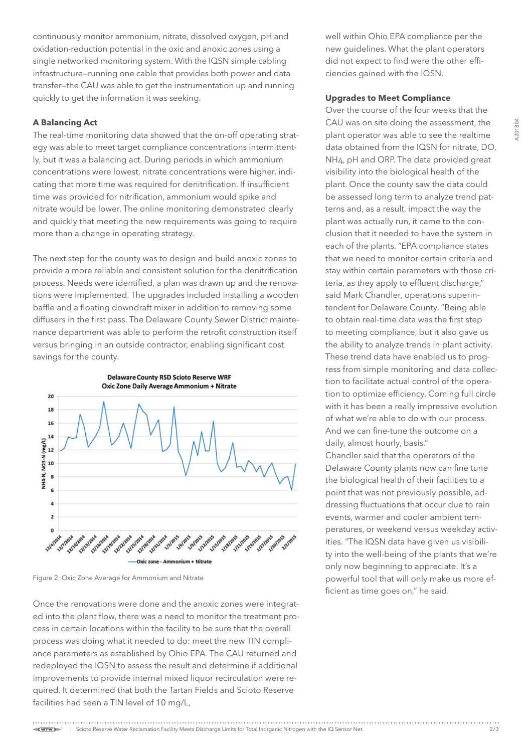**N201804** A201804

continuously monitor ammonium, nitrate, dissolved oxygen, pH and oxidation-reduction potential in the oxic and anoxic zones using a single networked monitoring system. With the IQSN simple cabling infrastructure—running one cable that provides both power and data transfer—the CAU was able to get the instrumentation up and running quickly to get the information it was seeking.

## **A Balancing Act**

The real-time monitoring data showed that the on-off operating strategy was able to meet target compliance concentrations intermittently, but it was a balancing act. During periods in which ammonium concentrations were lowest, nitrate concentrations were higher, indicating that more time was required for denitrification. If insufficient time was provided for nitrification, ammonium would spike and nitrate would be lower. The online monitoring demonstrated clearly and quickly that meeting the new requirements was going to require more than a change in operating strategy.

The next step for the county was to design and build anoxic zones to provide a more reliable and consistent solution for the denitrification process. Needs were identified, a plan was drawn up and the renovations were implemented. The upgrades included installing a wooden baffle and a floating downdraft mixer in addition to removing some diffusers in the first pass. The Delaware County Sewer District maintenance department was able to perform the retrofit construction itself versus bringing in an outside contractor, enabling significant cost savings for the county.



Figure 2: Oxic Zone Average for Ammonium and Nitrate

Once the renovations were done and the anoxic zones were integrated into the plant flow, there was a need to monitor the treatment process in certain locations within the facility to be sure that the overall process was doing what it needed to do: meet the new TIN compliance parameters as established by Ohio EPA. The CAU returned and redeployed the IQSN to assess the result and determine if additional improvements to provide internal mixed liquor recirculation were required. It determined that both the Tartan Fields and Scioto Reserve facilities had seen a TIN level of 10 mg/L,

well within Ohio EPA compliance per the new guidelines. What the plant operators did not expect to find were the other efficiencies gained with the IQSN.

#### **Upgrades to Meet Compliance**

Over the course of the four weeks that the CAU was on site doing the assessment, the plant operator was able to see the realtime data obtained from the IQSN for nitrate, DO, NH4, pH and ORP. The data provided great visibility into the biological health of the plant. Once the county saw the data could be assessed long term to analyze trend patterns and, as a result, impact the way the plant was actually run, it came to the conclusion that it needed to have the system in each of the plants. "EPA compliance states that we need to monitor certain criteria and stay within certain parameters with those criteria, as they apply to effluent discharge," said Mark Chandler, operations superintendent for Delaware County. "Being able to obtain real-time data was the first step to meeting compliance, but it also gave us the ability to analyze trends in plant activity. These trend data have enabled us to progress from simple monitoring and data collection to facilitate actual control of the operation to optimize efficiency. Coming full circle with it has been a really impressive evolution of what we're able to do with our process. And we can fine-tune the outcome on a daily, almost hourly, basis."

Chandler said that the operators of the Delaware County plants now can fine tune the biological health of their facilities to a point that was not previously possible, addressing fluctuations that occur due to rain events, warmer and cooler ambient temperatures, or weekend versus weekday activities. "The IQSN data have given us visibility into the well-being of the plants that we're only now beginning to appreciate. It's a powerful tool that will only make us more efficient as time goes on," he said.